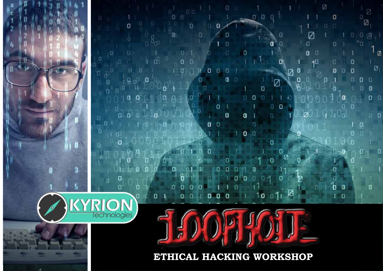$\Box$ n

O

 $\Omega$ 

 $\mathbf{0}$ 

п

o

0

ø

n

Γ

 $011$ 

10

D

Ω

п

 $\mathbf{a}$ 

n

O

П

Ø

0

**ETHICAL HACKING WORKSHOP**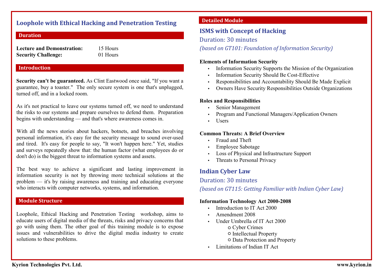#### **Loophole with Ethical Hacking and Penetration Testing**

#### **Duration**

| <b>Lecture and Demonstration:</b> | 1: |
|-----------------------------------|----|
| <b>Security Challenge:</b>        |    |

**5 Hours Security Challenge:** 01 Hours

#### **Introduction**

**Security can't be guaranteed.** As Clint Eastwood once said, "If you want a guarantee, buy a toaster." The only secure system is one that's unplugged, turned off, and in a locked room.

As it's not practical to leave our systems turned off, we need to understand the risks to our systems and prepare ourselves to defend them. Preparation begins with understanding — and that's where awareness comes in.

With all the news stories about hackers, botnets, and breaches involving personal information, it's easy for the security message to sound over-used and tired. It's easy for people to say, "It won't happen here." Yet, studies and surveys repeatedly show that: the human factor (what employees do or don't do) is the biggest threat to information systems and assets.

The best way to achieve a significant and lasting improvement in information security is not by throwing more technical solutions at the problem — it's by raising awareness and training and educating everyone who interacts with computer networks, systems, and information.

#### **Module Structure**

Loophole, Ethical Hacking and Penetration Testing workshop, aims to educate users of digital media of the threats, risks and privacy concerns that go with using them. The other goal of this training module is to expose issues and vulnerabilities to drive the digital media industry to create solutions to these problems.

#### **Detailed Module**

## **ISMS with Concept of Hacking**

Duration: 30 minutes

*(based on GT101: Foundation of Information Security)*

#### **Elements of Information Security**

- Information Security Supports the Mission of the Organization
- Information Security Should Be Cost-Effective
- Responsibilities and Accountability Should Be Made Explicit
- Owners Have Security Responsibilities Outside Organizations

#### **Roles and Responsibilities**

- Senior Management
- Program and Functional Managers/Application Owners
- Users

#### **Common Threats: A Brief Overview**

- Fraud and Theft
- Employee Sabotage
- Loss of Physical and Infrastructure Support
- Threats to Personal Privacy

#### **Indian Cyber Law**

#### Duration: 30 minutes

*(based on GT115: Getting Familiar with Indian Cyber Law)*

#### **Information Technology Act 2000-2008**

- Introduction to IT Act 2000
- Amendment 2008
- Under Umbrella of IT Act 2000
	- o Cyber Crimes
	- Intellectual Property
	- Data Protection and Property
- Limitations of Indian IT Act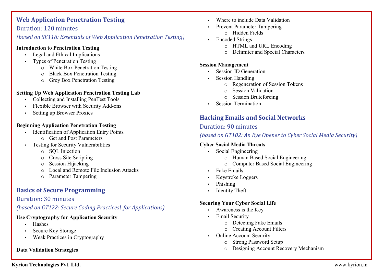# **Web Application Penetration Testing**

#### Duration: 120 minutes

#### *(based on SE118: Essentials of Web Application Penetration Testing)*

#### **Introduction to Penetration Testing**

- Legal and Ethical Implications
- Types of Penetration Testing
	- o White Box Penetration Testing
	- o Black Box Penetration Testing
	- o Grey Box Penetration Testing

#### **Setting Up Web Application Penetration Testing Lab**

- Collecting and Installing PenTest Tools
- Flexible Browser with Security Add-ons
- Setting up Browser Proxies

#### **Beginning Application Penetration Testing**

- Identification of Application Entry Points
	- o Get and Post Parameters
- Testing for Security Vulnerabilities
	- o SQL Injection
	- o Cross Site Scripting
	- o Session Hijacking
	- o Local and Remote File Inclusion Attacks
	- o Parameter Tampering

# **Basics of Secure Programming**

#### Duration: 30 minutes

#### *(based on GT122: Secure Coding Practices\ for Applications)*

#### **Use Cryptography for Application Security**

- Hashes
- Secure Key Storage
- Weak Practices in Cryptography

#### **Data Validation Strategies**

- Where to include Data Validation
- Prevent Parameter Tampering
	- o Hidden Fields
- Encoded Strings
	- o HTML and URL Encoding
	- o Delimiter and Special Characters

#### **Session Management**

- Session ID Generation
- Session Handling
	- o Regeneration of Session Tokens
	- o Session Validation
	- o Session Bruteforcing
- Session Termination

# **Hacking Emails and Social Networks**

#### Duration: 90 minutes

*(based on GT102: An Eye Opener to Cyber Social Media Security)*

#### **Cyber Social Media Threats**

- Social Engineering
	- o Human Based Social Engineering
	- o Computer Based Social Engineering
- Fake Emails
- Keystroke Loggers
- Phishing
- Identity Theft

#### **Securing Your Cyber Social Life**

- Awareness is the Key
- Email Security
	- o Detecting Fake Emails
	- o Creating Account Filters
- Online Account Security
	- o Strong Password Setup
	- o Designing Account Recovery Mechanism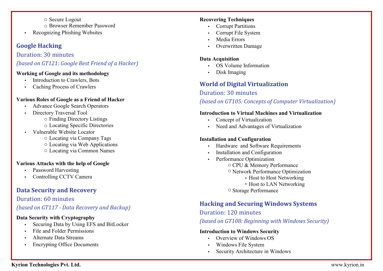o Secure Logout Browser Remember Password o • Recognizing Phishing Websites

# **Google Hacking**

## Duration: 30 minutes

# *(based on GT121: Google Best Friend of a Hacker)*

#### **Working of Google and its methodology**

- Introduction to Crawlers, Bots
- Caching Process of Crawlers

# **Various Roles of Google as a Friend of Hacker**

- Advance Google Search Operators
- Directory Traversal Tool
	- Finding Directory Listings o
	- Locating Specific Directories o
- Vulnerable Website Locator
	- Locating via Company Tags o
	- Locating via Web Applications o
	- Locating via Common Names o

# **Various Attacks with the help of Google**

- Password Harvesting
- Controlling CCTV Camera

# **Data Security and Recovery**

# Duration: 60 minutes

*(based on GT117 - Data Recovery and Backup)*

# **Data Security with Cryptography**

- Securing Data by Using EFS and BitLocker
- File and Folder Permissions
- Alternate Data Streams
- Encrypting Office Documents

## **Recovering Techniques**

- Corrupt Partitions
- Corrupt File System
- Media Errors
- Overwritten Damage

## **Data Acquisition**

- OS Volume Information
- Disk Imaging

# **World of Digital Virtualization**

# Duration: 30 minutes

*(based on GT105: Concepts of Computer Virtualization)*

## **Introduction to Virtual Machines and Virtualization**

- Concept of Virtualization
- Need and Advantages of Virtualization

# **Installation and Configuration**

- Hardware and Software Requirements
- Installation and Configuration
- Performance Optimization
	- o CPU & Memory Performance
	- <sup>o</sup> Network Performance Optimization
		- Host to Host Networking
		- Host to LAN Networking
	- Storage Performance o

# **Hacking and Securing Windows Systems**

# Duration: 120 minutes

*(based on GT108: Beginning with Windows Security)*

# **Introduction to Windows Security**

- Overview of Windows OS
- Windows File System
- Security Architecture in Windows

# **Kyrion Technologies Pvt. Ltd.**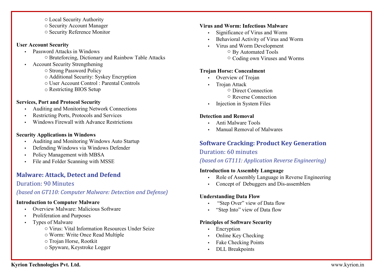- Local Security Authority o
- o Security Account Manager
- o Security Reference Monitor

#### **User Account Security**

- Password Attacks in Windows o Bruteforcing, Dictionary and Rainbow Table Attacks
- Account Security Strengthening
	- o Strong Password Policy
	- Additional Security: Syskey Encryption o
	- User Account Control : Parental Controls o
	- o Restricting BIOS Setup

#### **Services, Port and Protocol Security**

- Auditing and Monitoring Network Connections
- Restricting Ports, Protocols and Services
- Windows Firewall with Advance Restrictions

#### **Security Applications in Windows**

- Auditing and Monitoring Windows Auto Startup
- Defending Windows via Windows Defender
- Policy Management with MBSA
- File and Folder Scanning with MSSE

# **Malware: Attack, Detect and Defend**

# Duration: 90 Minutes

# *(based on GT110: Computer Malware: Detection and Defense)*

#### **Introduction to Computer Malware**

- Overview Malware: Malicious Software
- Proliferation and Purposes
- Types of Malware
	- o Virus: Vital Information Resources Under Seize
	- Worm: Write Once Read Multiple o
	- Trojan Horse, Rootkit o
	- o Spyware, Keystroke Logger

#### **Virus and Worm: Infectious Malware**

- Significance of Virus and Worm
- Behavioral Activity of Virus and Worm
- Virus and Worm Development
	- By Automated Tools o
	- Coding own Viruses and Worms o

## **Trojan Horse: Concealment**

- Overview of Trojan
- Trojan Attack
	- o Direct Connection
	- o Reverse Connection
- Injection in System Files

## **Detection and Removal**

- Anti Malware Tools
- Manual Removal of Malwares

# **Software Cracking: Product Key Generation**

# Duration: 60 minutes

# *(based on GT111: Application Reverse Engineering)*

# **Introduction to Assembly Language**

- Role of Assembly Language in Reverse Engineering
- Concept of Debuggers and Dis-assemblers

# **Understanding Data Flow**

- "Step Over" view of Data flow
- "Step Into" view of Data flow

# **Principles of Software Security**

- Encryption
- Online Key Checking
- Fake Checking Points
- DLL Breakpoints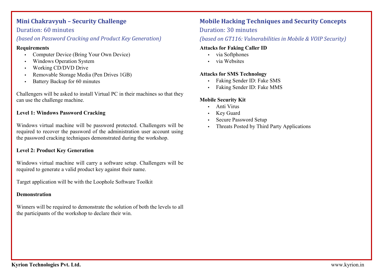# **Mini Chakravyuh – Security Challenge**

## Duration: 60 minutes

# *(based on Password Cracking and Product Key Generation)*

#### **Requirements**

- Computer Device (Bring Your Own Device)
- Windows Operation System
- Working CD/DVD Drive
- Removable Storage Media (Pen Drives 1GB)
- Battery Backup for 60 minutes

Challengers will be asked to install Virtual PC in their machines so that they can use the challenge machine.

#### **Level 1: Windows Password Cracking**

Windows virtual machine will be password protected. Challengers will be required to recover the password of the administration user account using the password cracking techniques demonstrated during the workshop.

#### **Level 2: Product Key Generation**

Windows virtual machine will carry a software setup. Challengers will be required to generate a valid product key against their name.

Target application will be with the Loophole Software Toolkit

#### **Demonstration**

Winners will be required to demonstrate the solution of both the levels to all the participants of the workshop to declare their win.

# **Mobile Hacking Techniques and Security Concepts**

#### Duration: 30 minutes

# *(based on GT116: Vulnerabilities in Mobile & VOIP Security)*

#### **Attacks for Faking Caller ID**

- via Softphones
- via Websites

#### **Attacks for SMS Technology**

- Faking Sender ID: Fake SMS
- Faking Sender ID: Fake MMS

#### **Mobile Security Kit**

- Anti Virus
- **Key Guard**
- Secure Password Setup
- Threats Posted by Third Party Applications